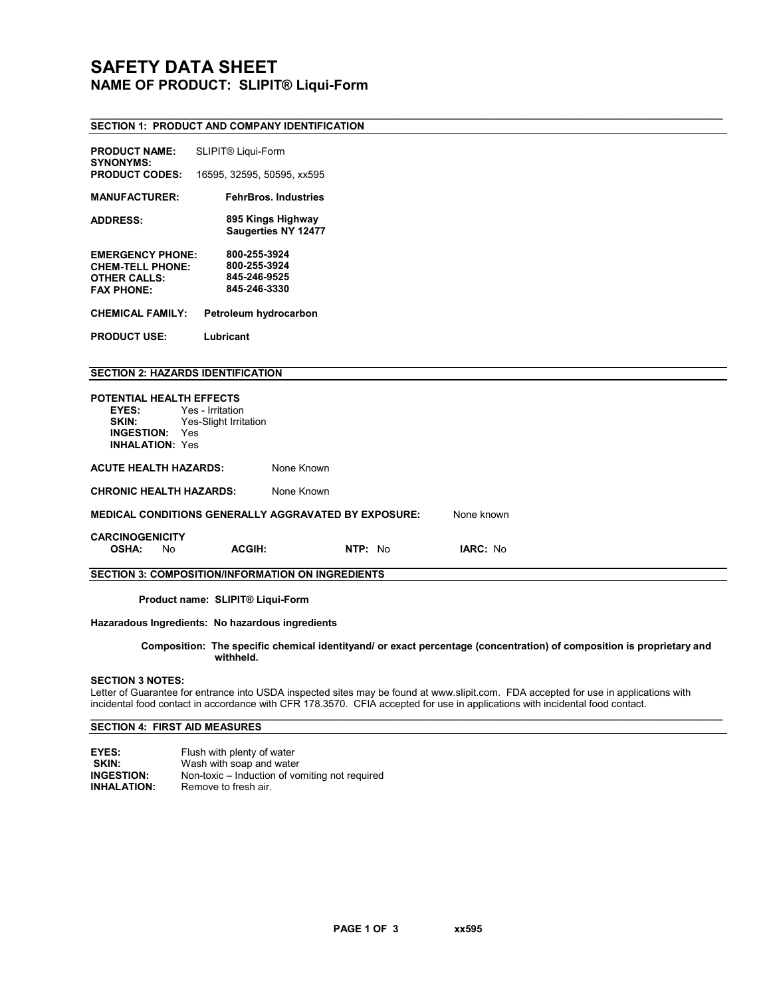# SAFETY DATA SHEET NAME OF PRODUCT: SLIPIT® Liqui-Form

#### \_\_\_\_\_\_\_\_\_\_\_\_\_\_\_\_\_\_\_\_\_\_\_\_\_\_\_\_\_\_\_\_\_\_\_\_\_\_\_\_\_\_\_\_\_\_\_\_\_\_\_\_\_\_\_\_\_\_\_\_\_\_\_\_\_\_\_\_\_\_\_\_\_\_\_\_\_\_\_\_\_\_\_\_\_\_\_\_\_\_\_\_\_\_\_\_\_\_\_\_\_\_\_\_\_\_\_\_\_\_\_\_\_ SECTION 1: PRODUCT AND COMPANY IDENTIFICATION

| <b>PRODUCT NAME:</b><br><b>SYNONYMS:</b>                                                         | SLIPIT® Liqui-Form                                           |         |            |  |  |  |
|--------------------------------------------------------------------------------------------------|--------------------------------------------------------------|---------|------------|--|--|--|
| <b>PRODUCT CODES:</b>                                                                            | 16595, 32595, 50595, xx595                                   |         |            |  |  |  |
| <b>MANUFACTURER:</b>                                                                             | <b>FehrBros. Industries</b>                                  |         |            |  |  |  |
| <b>ADDRESS:</b>                                                                                  | 895 Kings Highway<br>Saugerties NY 12477                     |         |            |  |  |  |
| <b>EMERGENCY PHONE:</b><br><b>CHEM-TELL PHONE:</b><br><b>OTHER CALLS:</b><br><b>FAX PHONE:</b>   | 800-255-3924<br>800-255-3924<br>845-246-9525<br>845-246-3330 |         |            |  |  |  |
| <b>CHEMICAL FAMILY:</b>                                                                          | Petroleum hydrocarbon                                        |         |            |  |  |  |
| <b>PRODUCT USE:</b>                                                                              | Lubricant                                                    |         |            |  |  |  |
| <b>SECTION 2: HAZARDS IDENTIFICATION</b>                                                         |                                                              |         |            |  |  |  |
| POTENTIAL HEALTH EFFECTS<br>EYES:<br>SKIN:<br><b>INGESTION:</b><br>Yes<br><b>INHALATION: Yes</b> | Yes - Irritation<br>Yes-Slight Irritation                    |         |            |  |  |  |
| <b>ACUTE HEALTH HAZARDS:</b>                                                                     | None Known                                                   |         |            |  |  |  |
| <b>CHRONIC HEALTH HAZARDS:</b>                                                                   | None Known                                                   |         |            |  |  |  |
|                                                                                                  | <b>MEDICAL CONDITIONS GENERALLY AGGRAVATED BY EXPOSURE:</b>  |         | None known |  |  |  |
| <b>CARCINOGENICITY</b><br><b>OSHA:</b><br><b>No</b>                                              | <b>ACGIH:</b>                                                | NTP: No | IARC: No   |  |  |  |
| <b>SECTION 3: COMPOSITION/INFORMATION ON INGREDIENTS</b>                                         |                                                              |         |            |  |  |  |
|                                                                                                  |                                                              |         |            |  |  |  |

Product name: SLIPIT® Liqui-Form

# Hazaradous Ingredients: No hazardous ingredients

### Composition: The specific chemical identityand/ or exact percentage (concentration) of composition is proprietary and withheld.

### SECTION 3 NOTES:

Letter of Guarantee for entrance into USDA inspected sites may be found at www.slipit.com. FDA accepted for use in applications with incidental food contact in accordance with CFR 178.3570. CFIA accepted for use in applications with incidental food contact.

\_\_\_\_\_\_\_\_\_\_\_\_\_\_\_\_\_\_\_\_\_\_\_\_\_\_\_\_\_\_\_\_\_\_\_\_\_\_\_\_\_\_\_\_\_\_\_\_\_\_\_\_\_\_\_\_\_\_\_\_\_\_\_\_\_\_\_\_\_\_\_\_\_\_\_\_\_\_\_\_\_\_\_\_\_\_\_\_\_\_\_\_\_\_\_\_\_\_\_\_\_\_\_\_\_\_\_\_\_\_\_\_\_

# SECTION 4: FIRST AID MEASURES

EYES: Flush with plenty of water<br>SKIN: Wash with soap and water **SKIN:** Wash with soap and water<br>**INGESTION:** Non-toxic – Induction of vo **INGESTION:** Non-toxic – Induction of vomiting not required<br>**INHALATION:** Remove to fresh air. Remove to fresh air.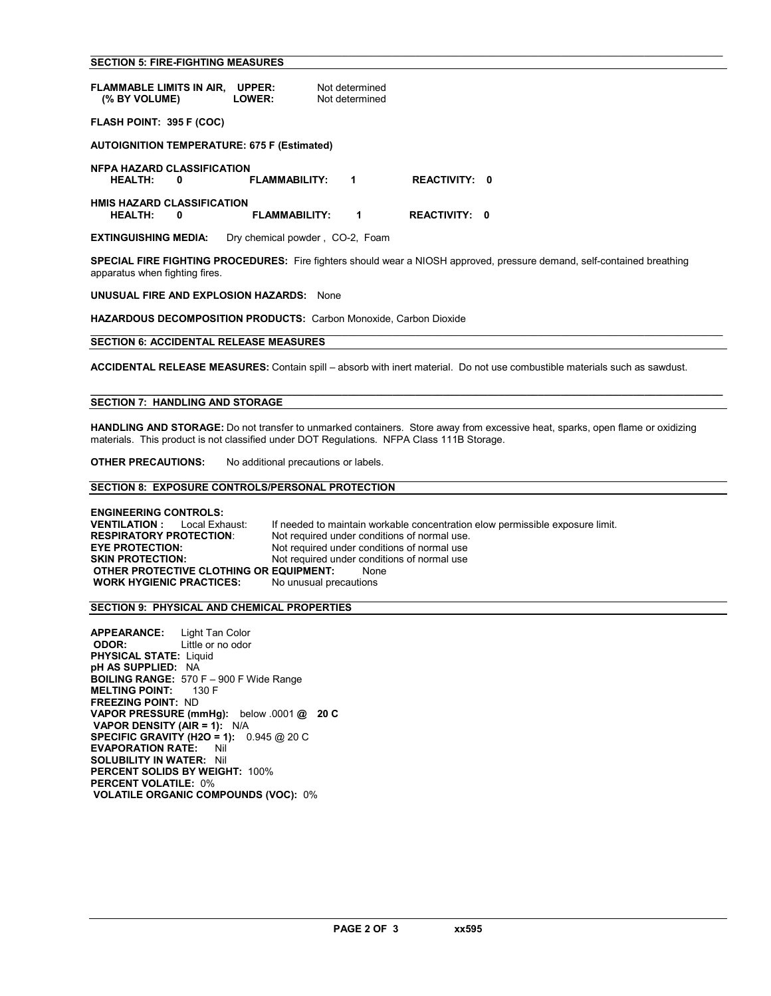# SECTION 5: FIRE-FIGHTING MEASURES

| FLAMMABLE LIMITS IN AIR,<br>(% BY VOLUME)                                                                          | UPPER:<br><b>LOWER:</b> | Not determined<br>Not determined |  |  |  |  |  |  |
|--------------------------------------------------------------------------------------------------------------------|-------------------------|----------------------------------|--|--|--|--|--|--|
| FLASH POINT: 395 F (COC)                                                                                           |                         |                                  |  |  |  |  |  |  |
| <b>AUTOIGNITION TEMPERATURE: 675 F (Estimated)</b>                                                                 |                         |                                  |  |  |  |  |  |  |
| <b>NFPA HAZARD CLASSIFICATION</b><br><b>HEALTH:</b><br>0                                                           | <b>REACTIVITY: 0</b>    |                                  |  |  |  |  |  |  |
| <b>HMIS HAZARD CLASSIFICATION</b><br><b>FLAMMABILITY:</b><br><b>REACTIVITY:</b><br><b>HEALTH:</b><br>1<br>0<br>- 0 |                         |                                  |  |  |  |  |  |  |
| <b>EXTINGUISHING MEDIA:</b>                                                                                        |                         | Dry chemical powder, CO-2, Foam  |  |  |  |  |  |  |

SPECIAL FIRE FIGHTING PROCEDURES: Fire fighters should wear a NIOSH approved, pressure demand, self-contained breathing apparatus when fighting fires.

 $\mathcal{L}_\text{max} = \frac{1}{2} \sum_{i=1}^n \mathcal{L}_\text{max} = \frac{1}{2} \sum_{i=1}^n \mathcal{L}_\text{max} = \frac{1}{2} \sum_{i=1}^n \mathcal{L}_\text{max} = \frac{1}{2} \sum_{i=1}^n \mathcal{L}_\text{max} = \frac{1}{2} \sum_{i=1}^n \mathcal{L}_\text{max} = \frac{1}{2} \sum_{i=1}^n \mathcal{L}_\text{max} = \frac{1}{2} \sum_{i=1}^n \mathcal{L}_\text{max} = \frac{1}{2} \sum_{i=$ 

UNUSUAL FIRE AND EXPLOSION HAZARDS: None

HAZARDOUS DECOMPOSITION PRODUCTS: Carbon Monoxide, Carbon Dioxide

#### SECTION 6: ACCIDENTAL RELEASE MEASURES

ACCIDENTAL RELEASE MEASURES: Contain spill – absorb with inert material. Do not use combustible materials such as sawdust.

 $\mathcal{L}_\text{max} = \frac{1}{2} \sum_{i=1}^n \mathcal{L}_\text{max} = \frac{1}{2} \sum_{i=1}^n \mathcal{L}_\text{max} = \frac{1}{2} \sum_{i=1}^n \mathcal{L}_\text{max} = \frac{1}{2} \sum_{i=1}^n \mathcal{L}_\text{max} = \frac{1}{2} \sum_{i=1}^n \mathcal{L}_\text{max} = \frac{1}{2} \sum_{i=1}^n \mathcal{L}_\text{max} = \frac{1}{2} \sum_{i=1}^n \mathcal{L}_\text{max} = \frac{1}{2} \sum_{i=$ 

 $\mathcal{L}_\mathcal{L} = \{ \mathcal{L}_\mathcal{L} = \{ \mathcal{L}_\mathcal{L} = \{ \mathcal{L}_\mathcal{L} = \{ \mathcal{L}_\mathcal{L} = \{ \mathcal{L}_\mathcal{L} = \{ \mathcal{L}_\mathcal{L} = \{ \mathcal{L}_\mathcal{L} = \{ \mathcal{L}_\mathcal{L} = \{ \mathcal{L}_\mathcal{L} = \{ \mathcal{L}_\mathcal{L} = \{ \mathcal{L}_\mathcal{L} = \{ \mathcal{L}_\mathcal{L} = \{ \mathcal{L}_\mathcal{L} = \{ \mathcal{L}_\mathcal{$ 

# SECTION 7: HANDLING AND STORAGE

HANDLING AND STORAGE: Do not transfer to unmarked containers. Store away from excessive heat, sparks, open flame or oxidizing materials. This product is not classified under DOT Regulations. NFPA Class 111B Storage.

OTHER PRECAUTIONS: No additional precautions or labels.

#### SECTION 8: EXPOSURE CONTROLS/PERSONAL PROTECTION

**ENGINEERING CONTROLS:**<br>**VENTILATION :** Local Exhaust: **VENTILATION :** Local Exhaust: If needed to maintain workable concentration elow permissible exposure limit.<br>RESPIRATORY PROTECTION: Not required under conditions of normal use. **RESPIRATORY PROTECTION:** Not required under conditions of normal use.<br> **EYE PROTECTION:** Not required under conditions of normal use EYE PROTECTION:<br>
SKIN PROTECTION: Not required under conditions of normal use Not required under conditions of normal use OTHER PROTECTIVE CLOTHING OR EQUIPMENT: None WORK HYGIENIC PRACTICES: No unusual precautions

#### SECTION 9: PHYSICAL AND CHEMICAL PROPERTIES

**APPEARANCE:** Light Tan Color<br>**ODOR:** Little or no odor Little or no odor PHYSICAL STATE: Liquid pH AS SUPPLIED: NA BOILING RANGE: 570 F – 900 F Wide Range<br>MELTING POINT: 130 F **MELTING POINT:** FREEZING POINT: ND VAPOR PRESSURE (mmHg): below .0001 @ 20 C VAPOR DENSITY (AIR = 1): N/A SPECIFIC GRAVITY (H2O = 1): 0.945 @ 20 C EVAPORATION RATE: Nil SOLUBILITY IN WATER: Nil PERCENT SOLIDS BY WEIGHT: 100% PERCENT VOLATILE: 0% VOLATILE ORGANIC COMPOUNDS (VOC): 0%